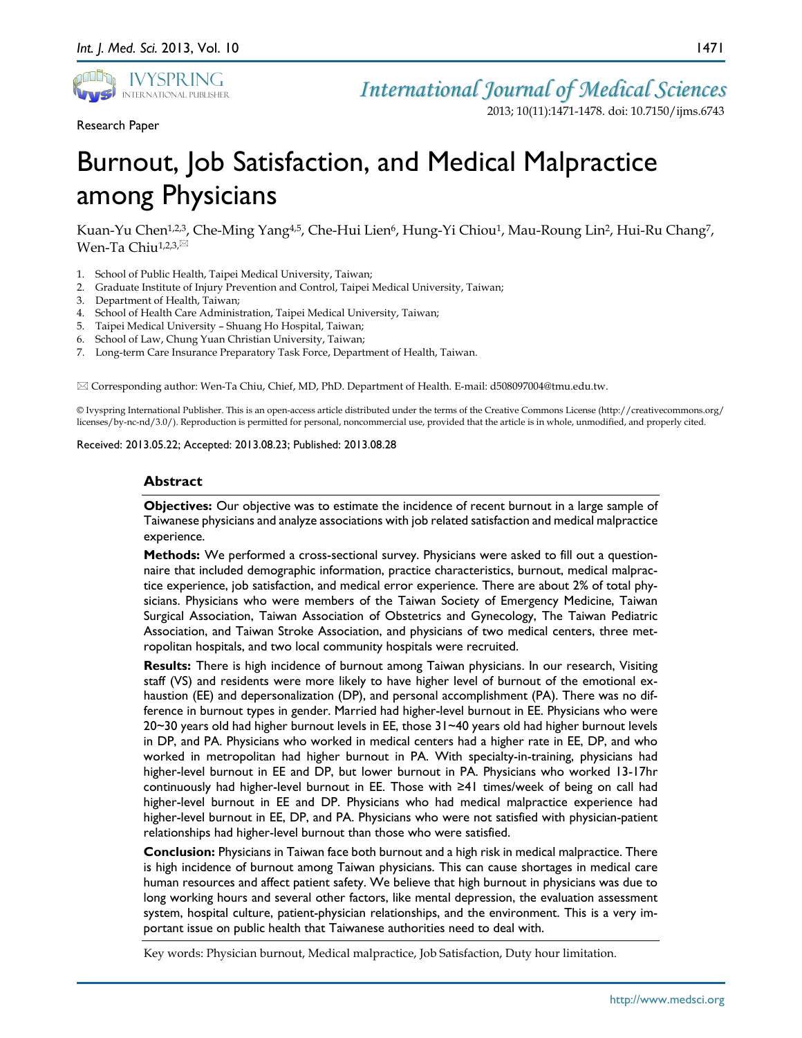

Research Paper

2013; 10(11):1471-1478. doi: 10.7150/ijms.6743

# Burnout, Job Satisfaction, and Medical Malpractice among Physicians

Kuan-Yu Chen<sup>1,2,3</sup>, Che-Ming Yang<sup>4,5</sup>, Che-Hui Lien<sup>6</sup>, Hung-Yi Chiou<sup>1</sup>, Mau-Roung Lin<sup>2</sup>, Hui-Ru Chang<sup>7</sup>, Wen-Ta Chiu<sup>1,2,3,⊠</sup>

- 1. School of Public Health, Taipei Medical University, Taiwan;
- 2. Graduate Institute of Injury Prevention and Control, Taipei Medical University, Taiwan;
- 3. Department of Health, Taiwan;
- 4. School of Health Care Administration, Taipei Medical University, Taiwan;
- 5. Taipei Medical University Shuang Ho Hospital, Taiwan;
- 6. School of Law, Chung Yuan Christian University, Taiwan;
- 7. Long-term Care Insurance Preparatory Task Force, Department of Health, Taiwan.

Corresponding author: Wen-Ta Chiu, Chief, MD, PhD. Department of Health. E-mail: d508097004@tmu.edu.tw.

© Ivyspring International Publisher. This is an open-access article distributed under the terms of the Creative Commons License (http://creativecommons.org/ licenses/by-nc-nd/3.0/). Reproduction is permitted for personal, noncommercial use, provided that the article is in whole, unmodified, and properly cited.

Received: 2013.05.22; Accepted: 2013.08.23; Published: 2013.08.28

## **Abstract**

**Objectives:** Our objective was to estimate the incidence of recent burnout in a large sample of Taiwanese physicians and analyze associations with job related satisfaction and medical malpractice experience.

**Methods:** We performed a cross-sectional survey. Physicians were asked to fill out a questionnaire that included demographic information, practice characteristics, burnout, medical malpractice experience, job satisfaction, and medical error experience. There are about 2% of total physicians. Physicians who were members of the Taiwan Society of Emergency Medicine, Taiwan Surgical Association, Taiwan Association of Obstetrics and Gynecology, The Taiwan Pediatric Association, and Taiwan Stroke Association, and physicians of two medical centers, three metropolitan hospitals, and two local community hospitals were recruited.

**Results:** There is high incidence of burnout among Taiwan physicians. In our research, Visiting staff (VS) and residents were more likely to have higher level of burnout of the emotional exhaustion (EE) and depersonalization (DP), and personal accomplishment (PA). There was no difference in burnout types in gender. Married had higher-level burnout in EE. Physicians who were 20~30 years old had higher burnout levels in EE, those 31~40 years old had higher burnout levels in DP, and PA. Physicians who worked in medical centers had a higher rate in EE, DP, and who worked in metropolitan had higher burnout in PA. With specialty-in-training, physicians had higher-level burnout in EE and DP, but lower burnout in PA. Physicians who worked 13-17hr continuously had higher-level burnout in EE. Those with ≥41 times/week of being on call had higher-level burnout in EE and DP. Physicians who had medical malpractice experience had higher-level burnout in EE, DP, and PA. Physicians who were not satisfied with physician-patient relationships had higher-level burnout than those who were satisfied.

**Conclusion:** Physicians in Taiwan face both burnout and a high risk in medical malpractice. There is high incidence of burnout among Taiwan physicians. This can cause shortages in medical care human resources and affect patient safety. We believe that high burnout in physicians was due to long working hours and several other factors, like mental depression, the evaluation assessment system, hospital culture, patient-physician relationships, and the environment. This is a very important issue on public health that Taiwanese authorities need to deal with.

Key words: Physician burnout, Medical malpractice, Job Satisfaction, Duty hour limitation.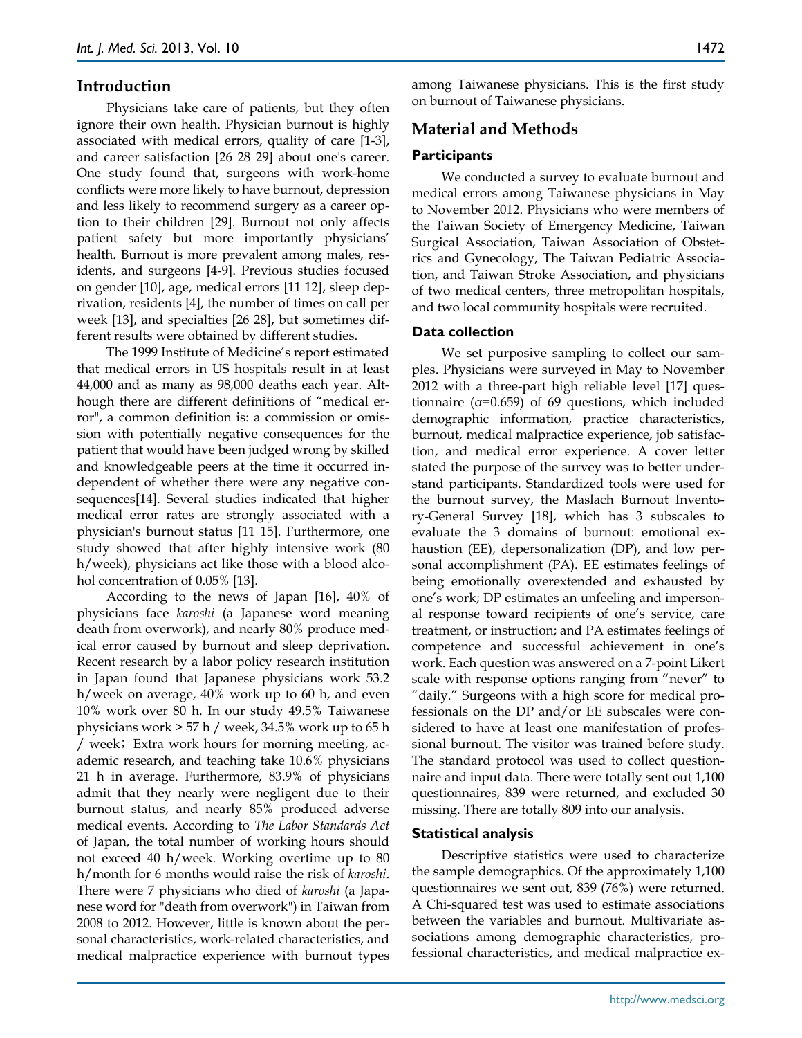## **Introduction**

Physicians take care of patients, but they often ignore their own health. Physician burnout is highly associated with medical errors, quality of care [1-3], and career satisfaction [26 28 29] about one's career. One study found that, surgeons with work-home conflicts were more likely to have burnout, depression and less likely to recommend surgery as a career option to their children [29]. Burnout not only affects patient safety but more importantly physicians' health. Burnout is more prevalent among males, residents, and surgeons [4-9]. Previous studies focused on gender [10], age, medical errors [11 12], sleep deprivation, residents [4], the number of times on call per week [13], and specialties [26 28], but sometimes different results were obtained by different studies.

The 1999 Institute of Medicine's report estimated that medical errors in US hospitals result in at least 44,000 and as many as 98,000 deaths each year. Although there are different definitions of "medical error", a common definition is: a commission or omission with potentially negative consequences for the patient that would have been judged wrong by skilled and knowledgeable peers at the time it occurred independent of whether there were any negative consequences[14]. Several studies indicated that higher medical error rates are strongly associated with a physician's burnout status [11 15]. Furthermore, one study showed that after highly intensive work (80 h/week), physicians act like those with a blood alcohol concentration of 0.05% [13].

According to the news of Japan [16], 40% of physicians face *karoshi* (a Japanese word meaning death from overwork), and nearly 80% produce medical error caused by burnout and sleep deprivation. Recent research by a labor policy research institution in Japan found that Japanese physicians work 53.2 h/week on average, 40% work up to 60 h, and even 10% work over 80 h. In our study 49.5% Taiwanese physicians work > 57 h / week, 34.5% work up to 65 h / week; Extra work hours for morning meeting, academic research, and teaching take 10.6% physicians 21 h in average. Furthermore, 83.9% of physicians admit that they nearly were negligent due to their burnout status, and nearly 85% produced adverse medical events. According to *The Labor Standards Act* of Japan, the total number of working hours should not exceed 40 h/week. Working overtime up to 80 h/month for 6 months would raise the risk of *karoshi*. There were 7 physicians who died of *karoshi* (a Japanese word for "death from overwork") in Taiwan from 2008 to 2012. However, little is known about the personal characteristics, work-related characteristics, and medical malpractice experience with burnout types

among Taiwanese physicians. This is the first study on burnout of Taiwanese physicians.

# **Material and Methods**

## **Participants**

We conducted a survey to evaluate burnout and medical errors among Taiwanese physicians in May to November 2012. Physicians who were members of the Taiwan Society of Emergency Medicine, Taiwan Surgical Association, Taiwan Association of Obstetrics and Gynecology, The Taiwan Pediatric Association, and Taiwan Stroke Association, and physicians of two medical centers, three metropolitan hospitals, and two local community hospitals were recruited.

## **Data collection**

We set purposive sampling to collect our samples. Physicians were surveyed in May to November 2012 with a three-part high reliable level [17] questionnaire ( $\alpha$ =0.659) of 69 questions, which included demographic information, practice characteristics, burnout, medical malpractice experience, job satisfaction, and medical error experience. A cover letter stated the purpose of the survey was to better understand participants. Standardized tools were used for the burnout survey, the Maslach Burnout Inventory-General Survey [18], which has 3 subscales to evaluate the 3 domains of burnout: emotional exhaustion (EE), depersonalization (DP), and low personal accomplishment (PA). EE estimates feelings of being emotionally overextended and exhausted by one's work; DP estimates an unfeeling and impersonal response toward recipients of one's service, care treatment, or instruction; and PA estimates feelings of competence and successful achievement in one's work. Each question was answered on a 7-point Likert scale with response options ranging from "never" to "daily." Surgeons with a high score for medical professionals on the DP and/or EE subscales were considered to have at least one manifestation of professional burnout. The visitor was trained before study. The standard protocol was used to collect questionnaire and input data. There were totally sent out 1,100 questionnaires, 839 were returned, and excluded 30 missing. There are totally 809 into our analysis.

## **Statistical analysis**

Descriptive statistics were used to characterize the sample demographics. Of the approximately 1,100 questionnaires we sent out, 839 (76%) were returned. A Chi-squared test was used to estimate associations between the variables and burnout. Multivariate associations among demographic characteristics, professional characteristics, and medical malpractice ex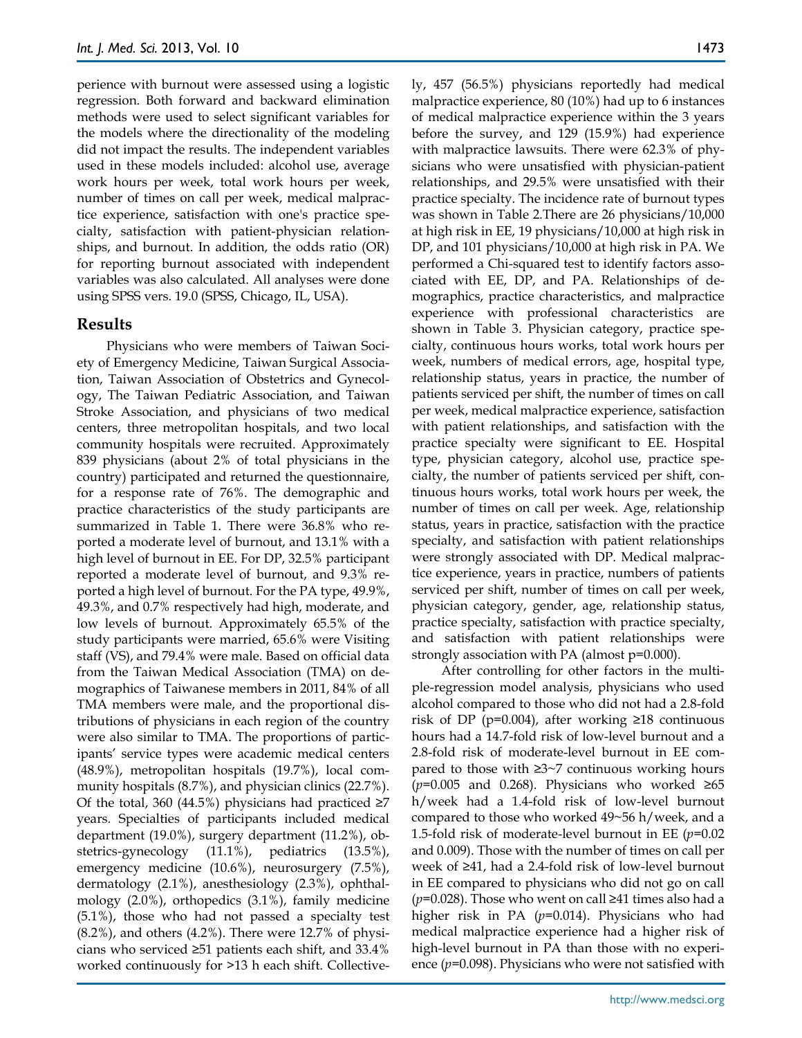perience with burnout were assessed using a logistic regression. Both forward and backward elimination methods were used to select significant variables for the models where the directionality of the modeling did not impact the results. The independent variables used in these models included: alcohol use, average work hours per week, total work hours per week, number of times on call per week, medical malpractice experience, satisfaction with one's practice specialty, satisfaction with patient-physician relationships, and burnout. In addition, the odds ratio (OR) for reporting burnout associated with independent variables was also calculated. All analyses were done using SPSS vers. 19.0 (SPSS, Chicago, IL, USA).

# **Results**

Physicians who were members of Taiwan Society of Emergency Medicine, Taiwan Surgical Association, Taiwan Association of Obstetrics and Gynecology, The Taiwan Pediatric Association, and Taiwan Stroke Association, and physicians of two medical centers, three metropolitan hospitals, and two local community hospitals were recruited. Approximately 839 physicians (about 2% of total physicians in the country) participated and returned the questionnaire, for a response rate of 76%. The demographic and practice characteristics of the study participants are summarized in Table 1. There were 36.8% who reported a moderate level of burnout, and 13.1% with a high level of burnout in EE. For DP, 32.5% participant reported a moderate level of burnout, and 9.3% reported a high level of burnout. For the PA type, 49.9%, 49.3%, and 0.7% respectively had high, moderate, and low levels of burnout. Approximately 65.5% of the study participants were married, 65.6% were Visiting staff (VS), and 79.4% were male. Based on official data from the Taiwan Medical Association (TMA) on demographics of Taiwanese members in 2011, 84% of all TMA members were male, and the proportional distributions of physicians in each region of the country were also similar to TMA. The proportions of participants' service types were academic medical centers (48.9%), metropolitan hospitals (19.7%), local community hospitals (8.7%), and physician clinics (22.7%). Of the total, 360 (44.5%) physicians had practiced  $\geq 7$ years. Specialties of participants included medical department (19.0%), surgery department (11.2%), obstetrics-gynecology (11.1%), pediatrics (13.5%), emergency medicine (10.6%), neurosurgery (7.5%), dermatology (2.1%), anesthesiology (2.3%), ophthalmology (2.0%), orthopedics (3.1%), family medicine (5.1%), those who had not passed a specialty test (8.2%), and others (4.2%). There were 12.7% of physicians who serviced ≥51 patients each shift, and 33.4% worked continuously for >13 h each shift. Collectively, 457 (56.5%) physicians reportedly had medical malpractice experience, 80 (10%) had up to 6 instances of medical malpractice experience within the 3 years before the survey, and 129 (15.9%) had experience with malpractice lawsuits. There were 62.3% of physicians who were unsatisfied with physician-patient relationships, and 29.5% were unsatisfied with their practice specialty. The incidence rate of burnout types was shown in Table 2.There are 26 physicians/10,000 at high risk in EE, 19 physicians/10,000 at high risk in DP, and 101 physicians/10,000 at high risk in PA. We performed a Chi-squared test to identify factors associated with EE, DP, and PA. Relationships of demographics, practice characteristics, and malpractice experience with professional characteristics are shown in Table 3. Physician category, practice specialty, continuous hours works, total work hours per week, numbers of medical errors, age, hospital type, relationship status, years in practice, the number of patients serviced per shift, the number of times on call per week, medical malpractice experience, satisfaction with patient relationships, and satisfaction with the practice specialty were significant to EE. Hospital type, physician category, alcohol use, practice specialty, the number of patients serviced per shift, continuous hours works, total work hours per week, the number of times on call per week. Age, relationship status, years in practice, satisfaction with the practice specialty, and satisfaction with patient relationships were strongly associated with DP. Medical malpractice experience, years in practice, numbers of patients serviced per shift, number of times on call per week, physician category, gender, age, relationship status, practice specialty, satisfaction with practice specialty, and satisfaction with patient relationships were strongly association with PA (almost p=0.000).

After controlling for other factors in the multiple-regression model analysis, physicians who used alcohol compared to those who did not had a 2.8-fold risk of DP (p=0.004), after working  $\geq 18$  continuous hours had a 14.7-fold risk of low-level burnout and a 2.8-fold risk of moderate-level burnout in EE compared to those with ≥3~7 continuous working hours (*p*=0.005 and 0.268). Physicians who worked ≥65 h/week had a 1.4-fold risk of low-level burnout compared to those who worked 49~56 h/week, and a 1.5-fold risk of moderate-level burnout in EE (*p*=0.02 and 0.009). Those with the number of times on call per week of ≥41, had a 2.4-fold risk of low-level burnout in EE compared to physicians who did not go on call (*p*=0.028). Those who went on call ≥41 times also had a higher risk in PA (*p*=0.014). Physicians who had medical malpractice experience had a higher risk of high-level burnout in PA than those with no experience (*p*=0.098). Physicians who were not satisfied with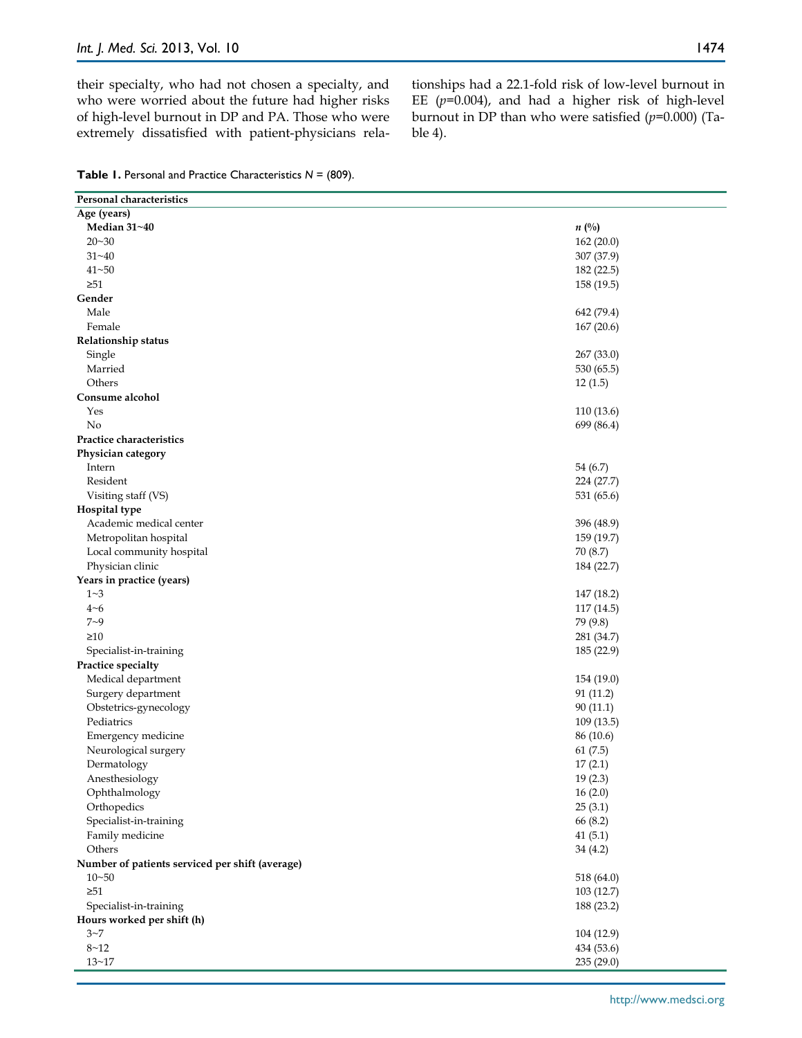their specialty, who had not chosen a specialty, and who were worried about the future had higher risks of high-level burnout in DP and PA. Those who were extremely dissatisfied with patient-physicians relationships had a 22.1-fold risk of low-level burnout in EE (*p*=0.004), and had a higher risk of high-level burnout in DP than who were satisfied (*p*=0.000) (Table 4).

**Table 1.** Personal and Practice Characteristics *N* = (809).

| Age (years)<br>Median $31 - 40$<br>$n(^{0}_{0})$<br>$20 - 30$<br>162(20.0)<br>$31 - 40$<br>307 (37.9)<br>$41 - 50$<br>182 (22.5)<br>$\geq 51$<br>158 (19.5)<br>Gender<br>Male<br>642 (79.4)<br>Female<br>167(20.6)<br>Relationship status<br>Single<br>267 (33.0)<br>Married<br>530 (65.5)<br>Others<br>12(1.5)<br>Consume alcohol<br>Yes<br>110 (13.6)<br>No<br>699 (86.4)<br>Practice characteristics<br>Physician category<br>Intern<br>54 (6.7)<br>Resident<br>224 (27.7)<br>Visiting staff (VS)<br>531 (65.6)<br>Hospital type<br>Academic medical center<br>396 (48.9)<br>Metropolitan hospital<br>159 (19.7)<br>Local community hospital<br>70 (8.7)<br>Physician clinic<br>184 (22.7)<br>Years in practice (years)<br>$1 - 3$<br>147 (18.2)<br>$4 - 6$<br>117 (14.5)<br>$7 - 9$<br>79 (9.8)<br>$\geq10$<br>281 (34.7)<br>Specialist-in-training<br>185 (22.9)<br>Practice specialty<br>Medical department<br>154 (19.0)<br>Surgery department<br>91 (11.2)<br>Obstetrics-gynecology<br>90(11.1)<br>Pediatrics<br>109(13.5)<br>Emergency medicine<br>86 (10.6)<br>Neurological surgery<br>61(7.5)<br>Dermatology<br>17(2.1)<br>Anesthesiology<br>19(2.3)<br>Ophthalmology<br>16(2.0)<br>Orthopedics<br>25(3.1)<br>Specialist-in-training<br>66 (8.2)<br>Family medicine<br>41(5.1)<br>Others<br>34(4.2)<br>Number of patients serviced per shift (average)<br>$10 - 50$<br>518 (64.0)<br>$\geq 51$<br>103(12.7)<br>Specialist-in-training<br>188 (23.2)<br>Hours worked per shift (h)<br>$3 - 7$<br>104 (12.9)<br>$8 - 12$<br>434 (53.6)<br>$13 - 17$<br>235 (29.0) | Personal characteristics |  |
|----------------------------------------------------------------------------------------------------------------------------------------------------------------------------------------------------------------------------------------------------------------------------------------------------------------------------------------------------------------------------------------------------------------------------------------------------------------------------------------------------------------------------------------------------------------------------------------------------------------------------------------------------------------------------------------------------------------------------------------------------------------------------------------------------------------------------------------------------------------------------------------------------------------------------------------------------------------------------------------------------------------------------------------------------------------------------------------------------------------------------------------------------------------------------------------------------------------------------------------------------------------------------------------------------------------------------------------------------------------------------------------------------------------------------------------------------------------------------------------------------------------------------------------------------------------------------|--------------------------|--|
|                                                                                                                                                                                                                                                                                                                                                                                                                                                                                                                                                                                                                                                                                                                                                                                                                                                                                                                                                                                                                                                                                                                                                                                                                                                                                                                                                                                                                                                                                                                                                                            |                          |  |
|                                                                                                                                                                                                                                                                                                                                                                                                                                                                                                                                                                                                                                                                                                                                                                                                                                                                                                                                                                                                                                                                                                                                                                                                                                                                                                                                                                                                                                                                                                                                                                            |                          |  |
|                                                                                                                                                                                                                                                                                                                                                                                                                                                                                                                                                                                                                                                                                                                                                                                                                                                                                                                                                                                                                                                                                                                                                                                                                                                                                                                                                                                                                                                                                                                                                                            |                          |  |
|                                                                                                                                                                                                                                                                                                                                                                                                                                                                                                                                                                                                                                                                                                                                                                                                                                                                                                                                                                                                                                                                                                                                                                                                                                                                                                                                                                                                                                                                                                                                                                            |                          |  |
|                                                                                                                                                                                                                                                                                                                                                                                                                                                                                                                                                                                                                                                                                                                                                                                                                                                                                                                                                                                                                                                                                                                                                                                                                                                                                                                                                                                                                                                                                                                                                                            |                          |  |
|                                                                                                                                                                                                                                                                                                                                                                                                                                                                                                                                                                                                                                                                                                                                                                                                                                                                                                                                                                                                                                                                                                                                                                                                                                                                                                                                                                                                                                                                                                                                                                            |                          |  |
|                                                                                                                                                                                                                                                                                                                                                                                                                                                                                                                                                                                                                                                                                                                                                                                                                                                                                                                                                                                                                                                                                                                                                                                                                                                                                                                                                                                                                                                                                                                                                                            |                          |  |
|                                                                                                                                                                                                                                                                                                                                                                                                                                                                                                                                                                                                                                                                                                                                                                                                                                                                                                                                                                                                                                                                                                                                                                                                                                                                                                                                                                                                                                                                                                                                                                            |                          |  |
|                                                                                                                                                                                                                                                                                                                                                                                                                                                                                                                                                                                                                                                                                                                                                                                                                                                                                                                                                                                                                                                                                                                                                                                                                                                                                                                                                                                                                                                                                                                                                                            |                          |  |
|                                                                                                                                                                                                                                                                                                                                                                                                                                                                                                                                                                                                                                                                                                                                                                                                                                                                                                                                                                                                                                                                                                                                                                                                                                                                                                                                                                                                                                                                                                                                                                            |                          |  |
|                                                                                                                                                                                                                                                                                                                                                                                                                                                                                                                                                                                                                                                                                                                                                                                                                                                                                                                                                                                                                                                                                                                                                                                                                                                                                                                                                                                                                                                                                                                                                                            |                          |  |
|                                                                                                                                                                                                                                                                                                                                                                                                                                                                                                                                                                                                                                                                                                                                                                                                                                                                                                                                                                                                                                                                                                                                                                                                                                                                                                                                                                                                                                                                                                                                                                            |                          |  |
|                                                                                                                                                                                                                                                                                                                                                                                                                                                                                                                                                                                                                                                                                                                                                                                                                                                                                                                                                                                                                                                                                                                                                                                                                                                                                                                                                                                                                                                                                                                                                                            |                          |  |
|                                                                                                                                                                                                                                                                                                                                                                                                                                                                                                                                                                                                                                                                                                                                                                                                                                                                                                                                                                                                                                                                                                                                                                                                                                                                                                                                                                                                                                                                                                                                                                            |                          |  |
|                                                                                                                                                                                                                                                                                                                                                                                                                                                                                                                                                                                                                                                                                                                                                                                                                                                                                                                                                                                                                                                                                                                                                                                                                                                                                                                                                                                                                                                                                                                                                                            |                          |  |
|                                                                                                                                                                                                                                                                                                                                                                                                                                                                                                                                                                                                                                                                                                                                                                                                                                                                                                                                                                                                                                                                                                                                                                                                                                                                                                                                                                                                                                                                                                                                                                            |                          |  |
|                                                                                                                                                                                                                                                                                                                                                                                                                                                                                                                                                                                                                                                                                                                                                                                                                                                                                                                                                                                                                                                                                                                                                                                                                                                                                                                                                                                                                                                                                                                                                                            |                          |  |
|                                                                                                                                                                                                                                                                                                                                                                                                                                                                                                                                                                                                                                                                                                                                                                                                                                                                                                                                                                                                                                                                                                                                                                                                                                                                                                                                                                                                                                                                                                                                                                            |                          |  |
|                                                                                                                                                                                                                                                                                                                                                                                                                                                                                                                                                                                                                                                                                                                                                                                                                                                                                                                                                                                                                                                                                                                                                                                                                                                                                                                                                                                                                                                                                                                                                                            |                          |  |
|                                                                                                                                                                                                                                                                                                                                                                                                                                                                                                                                                                                                                                                                                                                                                                                                                                                                                                                                                                                                                                                                                                                                                                                                                                                                                                                                                                                                                                                                                                                                                                            |                          |  |
|                                                                                                                                                                                                                                                                                                                                                                                                                                                                                                                                                                                                                                                                                                                                                                                                                                                                                                                                                                                                                                                                                                                                                                                                                                                                                                                                                                                                                                                                                                                                                                            |                          |  |
|                                                                                                                                                                                                                                                                                                                                                                                                                                                                                                                                                                                                                                                                                                                                                                                                                                                                                                                                                                                                                                                                                                                                                                                                                                                                                                                                                                                                                                                                                                                                                                            |                          |  |
|                                                                                                                                                                                                                                                                                                                                                                                                                                                                                                                                                                                                                                                                                                                                                                                                                                                                                                                                                                                                                                                                                                                                                                                                                                                                                                                                                                                                                                                                                                                                                                            |                          |  |
|                                                                                                                                                                                                                                                                                                                                                                                                                                                                                                                                                                                                                                                                                                                                                                                                                                                                                                                                                                                                                                                                                                                                                                                                                                                                                                                                                                                                                                                                                                                                                                            |                          |  |
|                                                                                                                                                                                                                                                                                                                                                                                                                                                                                                                                                                                                                                                                                                                                                                                                                                                                                                                                                                                                                                                                                                                                                                                                                                                                                                                                                                                                                                                                                                                                                                            |                          |  |
|                                                                                                                                                                                                                                                                                                                                                                                                                                                                                                                                                                                                                                                                                                                                                                                                                                                                                                                                                                                                                                                                                                                                                                                                                                                                                                                                                                                                                                                                                                                                                                            |                          |  |
|                                                                                                                                                                                                                                                                                                                                                                                                                                                                                                                                                                                                                                                                                                                                                                                                                                                                                                                                                                                                                                                                                                                                                                                                                                                                                                                                                                                                                                                                                                                                                                            |                          |  |
|                                                                                                                                                                                                                                                                                                                                                                                                                                                                                                                                                                                                                                                                                                                                                                                                                                                                                                                                                                                                                                                                                                                                                                                                                                                                                                                                                                                                                                                                                                                                                                            |                          |  |
|                                                                                                                                                                                                                                                                                                                                                                                                                                                                                                                                                                                                                                                                                                                                                                                                                                                                                                                                                                                                                                                                                                                                                                                                                                                                                                                                                                                                                                                                                                                                                                            |                          |  |
|                                                                                                                                                                                                                                                                                                                                                                                                                                                                                                                                                                                                                                                                                                                                                                                                                                                                                                                                                                                                                                                                                                                                                                                                                                                                                                                                                                                                                                                                                                                                                                            |                          |  |
|                                                                                                                                                                                                                                                                                                                                                                                                                                                                                                                                                                                                                                                                                                                                                                                                                                                                                                                                                                                                                                                                                                                                                                                                                                                                                                                                                                                                                                                                                                                                                                            |                          |  |
|                                                                                                                                                                                                                                                                                                                                                                                                                                                                                                                                                                                                                                                                                                                                                                                                                                                                                                                                                                                                                                                                                                                                                                                                                                                                                                                                                                                                                                                                                                                                                                            |                          |  |
|                                                                                                                                                                                                                                                                                                                                                                                                                                                                                                                                                                                                                                                                                                                                                                                                                                                                                                                                                                                                                                                                                                                                                                                                                                                                                                                                                                                                                                                                                                                                                                            |                          |  |
|                                                                                                                                                                                                                                                                                                                                                                                                                                                                                                                                                                                                                                                                                                                                                                                                                                                                                                                                                                                                                                                                                                                                                                                                                                                                                                                                                                                                                                                                                                                                                                            |                          |  |
|                                                                                                                                                                                                                                                                                                                                                                                                                                                                                                                                                                                                                                                                                                                                                                                                                                                                                                                                                                                                                                                                                                                                                                                                                                                                                                                                                                                                                                                                                                                                                                            |                          |  |
|                                                                                                                                                                                                                                                                                                                                                                                                                                                                                                                                                                                                                                                                                                                                                                                                                                                                                                                                                                                                                                                                                                                                                                                                                                                                                                                                                                                                                                                                                                                                                                            |                          |  |
|                                                                                                                                                                                                                                                                                                                                                                                                                                                                                                                                                                                                                                                                                                                                                                                                                                                                                                                                                                                                                                                                                                                                                                                                                                                                                                                                                                                                                                                                                                                                                                            |                          |  |
|                                                                                                                                                                                                                                                                                                                                                                                                                                                                                                                                                                                                                                                                                                                                                                                                                                                                                                                                                                                                                                                                                                                                                                                                                                                                                                                                                                                                                                                                                                                                                                            |                          |  |
|                                                                                                                                                                                                                                                                                                                                                                                                                                                                                                                                                                                                                                                                                                                                                                                                                                                                                                                                                                                                                                                                                                                                                                                                                                                                                                                                                                                                                                                                                                                                                                            |                          |  |
|                                                                                                                                                                                                                                                                                                                                                                                                                                                                                                                                                                                                                                                                                                                                                                                                                                                                                                                                                                                                                                                                                                                                                                                                                                                                                                                                                                                                                                                                                                                                                                            |                          |  |
|                                                                                                                                                                                                                                                                                                                                                                                                                                                                                                                                                                                                                                                                                                                                                                                                                                                                                                                                                                                                                                                                                                                                                                                                                                                                                                                                                                                                                                                                                                                                                                            |                          |  |
|                                                                                                                                                                                                                                                                                                                                                                                                                                                                                                                                                                                                                                                                                                                                                                                                                                                                                                                                                                                                                                                                                                                                                                                                                                                                                                                                                                                                                                                                                                                                                                            |                          |  |
|                                                                                                                                                                                                                                                                                                                                                                                                                                                                                                                                                                                                                                                                                                                                                                                                                                                                                                                                                                                                                                                                                                                                                                                                                                                                                                                                                                                                                                                                                                                                                                            |                          |  |
|                                                                                                                                                                                                                                                                                                                                                                                                                                                                                                                                                                                                                                                                                                                                                                                                                                                                                                                                                                                                                                                                                                                                                                                                                                                                                                                                                                                                                                                                                                                                                                            |                          |  |
|                                                                                                                                                                                                                                                                                                                                                                                                                                                                                                                                                                                                                                                                                                                                                                                                                                                                                                                                                                                                                                                                                                                                                                                                                                                                                                                                                                                                                                                                                                                                                                            |                          |  |
|                                                                                                                                                                                                                                                                                                                                                                                                                                                                                                                                                                                                                                                                                                                                                                                                                                                                                                                                                                                                                                                                                                                                                                                                                                                                                                                                                                                                                                                                                                                                                                            |                          |  |
|                                                                                                                                                                                                                                                                                                                                                                                                                                                                                                                                                                                                                                                                                                                                                                                                                                                                                                                                                                                                                                                                                                                                                                                                                                                                                                                                                                                                                                                                                                                                                                            |                          |  |
|                                                                                                                                                                                                                                                                                                                                                                                                                                                                                                                                                                                                                                                                                                                                                                                                                                                                                                                                                                                                                                                                                                                                                                                                                                                                                                                                                                                                                                                                                                                                                                            |                          |  |
|                                                                                                                                                                                                                                                                                                                                                                                                                                                                                                                                                                                                                                                                                                                                                                                                                                                                                                                                                                                                                                                                                                                                                                                                                                                                                                                                                                                                                                                                                                                                                                            |                          |  |
|                                                                                                                                                                                                                                                                                                                                                                                                                                                                                                                                                                                                                                                                                                                                                                                                                                                                                                                                                                                                                                                                                                                                                                                                                                                                                                                                                                                                                                                                                                                                                                            |                          |  |
|                                                                                                                                                                                                                                                                                                                                                                                                                                                                                                                                                                                                                                                                                                                                                                                                                                                                                                                                                                                                                                                                                                                                                                                                                                                                                                                                                                                                                                                                                                                                                                            |                          |  |
|                                                                                                                                                                                                                                                                                                                                                                                                                                                                                                                                                                                                                                                                                                                                                                                                                                                                                                                                                                                                                                                                                                                                                                                                                                                                                                                                                                                                                                                                                                                                                                            |                          |  |
|                                                                                                                                                                                                                                                                                                                                                                                                                                                                                                                                                                                                                                                                                                                                                                                                                                                                                                                                                                                                                                                                                                                                                                                                                                                                                                                                                                                                                                                                                                                                                                            |                          |  |
|                                                                                                                                                                                                                                                                                                                                                                                                                                                                                                                                                                                                                                                                                                                                                                                                                                                                                                                                                                                                                                                                                                                                                                                                                                                                                                                                                                                                                                                                                                                                                                            |                          |  |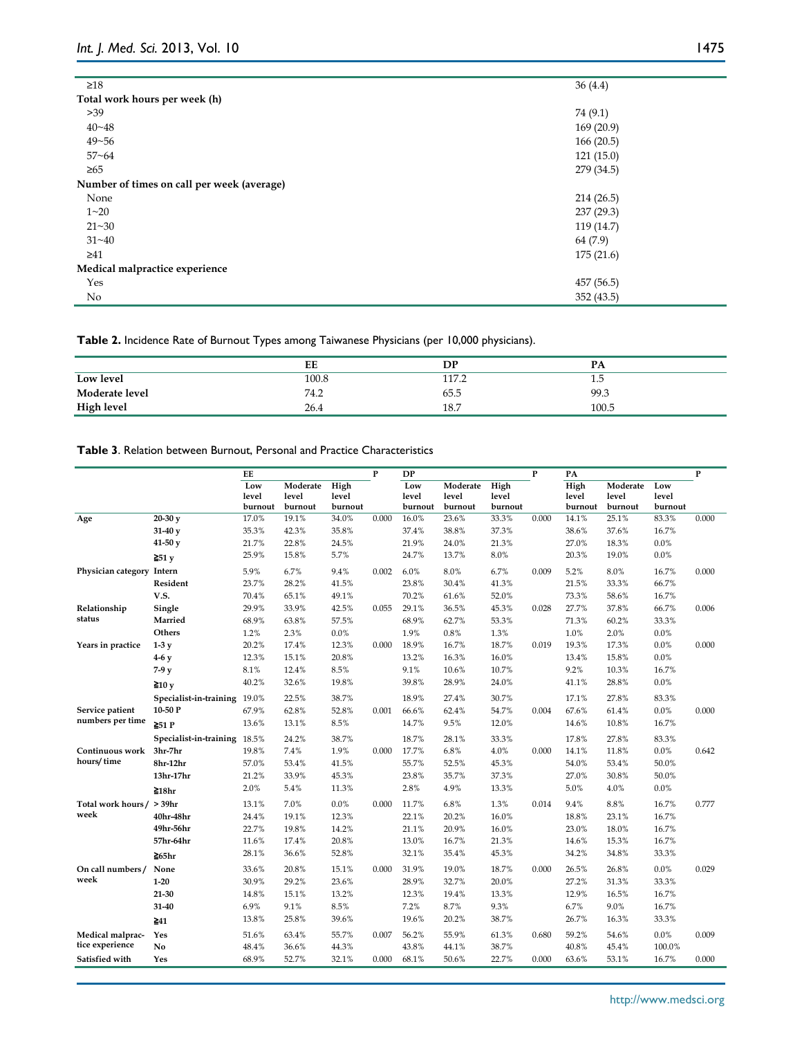| $\geq 18$                                  | 36(4.4)    |
|--------------------------------------------|------------|
| Total work hours per week (h)              |            |
| $>39$                                      | 74 (9.1)   |
| $40 - 48$                                  | 169(20.9)  |
| $49 - 56$                                  | 166(20.5)  |
| $57 - 64$                                  | 121(15.0)  |
| $\geq 65$                                  | 279 (34.5) |
| Number of times on call per week (average) |            |
| None                                       | 214 (26.5) |
| $1 - 20$                                   | 237(29.3)  |
| $21 - 30$                                  | 119 (14.7) |
| $31 - 40$                                  | 64 (7.9)   |
| $\geq 41$                                  | 175 (21.6) |
| Medical malpractice experience             |            |
| Yes                                        | 457 (56.5) |
| No                                         | 352 (43.5) |

**Table 2.** Incidence Rate of Burnout Types among Taiwanese Physicians (per 10,000 physicians).

|                | EE    | DР    | PA    |
|----------------|-------|-------|-------|
| Low level      | 100.8 | 117.2 | 1.5   |
| Moderate level | 74.2  | 65.5  | 99.3  |
| High level     | 26.4  | 18.7  | 100.5 |

**Table 3**. Relation between Burnout, Personal and Practice Characteristics

|                           |                              | EE                      |                              | $\mathbf{P}$             | DP    |                         |                              | $\mathbf{P}$             | PA    | ${\bf P}$                |                              |                         |       |
|---------------------------|------------------------------|-------------------------|------------------------------|--------------------------|-------|-------------------------|------------------------------|--------------------------|-------|--------------------------|------------------------------|-------------------------|-------|
|                           |                              | Low<br>level<br>burnout | Moderate<br>level<br>burnout | High<br>level<br>burnout |       | Low<br>level<br>burnout | Moderate<br>level<br>burnout | High<br>level<br>burnout |       | High<br>level<br>burnout | Moderate<br>level<br>burnout | Low<br>level<br>burnout |       |
| Age                       | $20-30y$                     | 17.0%                   | 19.1%                        | 34.0%                    | 0.000 | 16.0%                   | 23.6%                        | 33.3%                    | 0.000 | 14.1%                    | 25.1%                        | 83.3%                   | 0.000 |
|                           | $31-40v$                     | 35.3%                   | 42.3%                        | 35.8%                    |       | 37.4%                   | 38.8%                        | 37.3%                    |       | 38.6%                    | 37.6%                        | 16.7%                   |       |
|                           | $41 - 50y$                   | 21.7%                   | 22.8%                        | 24.5%                    |       | 21.9%                   | 24.0%                        | 21.3%                    |       | 27.0%                    | 18.3%                        | 0.0%                    |       |
|                           | $\geq 51$ y                  | 25.9%                   | 15.8%                        | 5.7%                     |       | 24.7%                   | 13.7%                        | 8.0%                     |       | 20.3%                    | 19.0%                        | 0.0%                    |       |
| Physician category Intern |                              | 5.9%                    | 6.7%                         | 9.4%                     | 0.002 | 6.0%                    | 8.0%                         | 6.7%                     | 0.009 | 5.2%                     | 8.0%                         | 16.7%                   | 0.000 |
|                           | Resident                     | 23.7%                   | 28.2%                        | 41.5%                    |       | 23.8%                   | 30.4%                        | 41.3%                    |       | 21.5%                    | 33.3%                        | 66.7%                   |       |
|                           | V.S.                         | 70.4%                   | 65.1%                        | 49.1%                    |       | 70.2%                   | 61.6%                        | 52.0%                    |       | 73.3%                    | 58.6%                        | 16.7%                   |       |
| Relationship              | Single                       | 29.9%                   | 33.9%                        | 42.5%                    | 0.055 | 29.1%                   | 36.5%                        | 45.3%                    | 0.028 | 27.7%                    | 37.8%                        | 66.7%                   | 0.006 |
| status                    | Married                      | 68.9%                   | 63.8%                        | 57.5%                    |       | 68.9%                   | 62.7%                        | 53.3%                    |       | 71.3%                    | 60.2%                        | 33.3%                   |       |
|                           | Others                       | 1.2%                    | 2.3%                         | 0.0%                     |       | 1.9%                    | 0.8%                         | 1.3%                     |       | 1.0%                     | 2.0%                         | 0.0%                    |       |
| Years in practice         | $1-3y$                       | 20.2%                   | 17.4%                        | 12.3%                    | 0.000 | 18.9%                   | 16.7%                        | 18.7%                    | 0.019 | 19.3%                    | 17.3%                        | 0.0%                    | 0.000 |
|                           | $4-6y$                       | 12.3%                   | 15.1%                        | 20.8%                    |       | 13.2%                   | 16.3%                        | 16.0%                    |       | 13.4%                    | 15.8%                        | 0.0%                    |       |
|                           | $7-9y$                       | 8.1%                    | 12.4%                        | 8.5%                     |       | 9.1%                    | 10.6%                        | 10.7%                    |       | 9.2%                     | 10.3%                        | 16.7%                   |       |
|                           | ≥10y                         | 40.2%                   | 32.6%                        | 19.8%                    |       | 39.8%                   | 28.9%                        | 24.0%                    |       | 41.1%                    | 28.8%                        | 0.0%                    |       |
|                           | Specialist-in-training 19.0% |                         | 22.5%                        | 38.7%                    |       | 18.9%                   | 27.4%                        | 30.7%                    |       | 17.1%                    | 27.8%                        | 83.3%                   |       |
| Service patient           | 10-50 P                      | 67.9%                   | 62.8%                        | 52.8%                    | 0.001 | 66.6%                   | 62.4%                        | 54.7%                    | 0.004 | 67.6%                    | 61.4%                        | 0.0%                    | 0.000 |
| numbers per time          | 251P                         | 13.6%                   | 13.1%                        | 8.5%                     |       | 14.7%                   | 9.5%                         | 12.0%                    |       | 14.6%                    | 10.8%                        | 16.7%                   |       |
|                           | Specialist-in-training 18.5% |                         | 24.2%                        | 38.7%                    |       | 18.7%                   | 28.1%                        | 33.3%                    |       | 17.8%                    | 27.8%                        | 83.3%                   |       |
| Continuous work           | 3hr-7hr                      | 19.8%                   | 7.4%                         | 1.9%                     | 0.000 | 17.7%                   | 6.8%                         | 4.0%                     | 0.000 | 14.1%                    | 11.8%                        | $0.0\%$                 | 0.642 |
| hours/time                | 8hr-12hr                     | 57.0%                   | 53.4%                        | 41.5%                    |       | 55.7%                   | 52.5%                        | 45.3%                    |       | 54.0%                    | 53.4%                        | 50.0%                   |       |
|                           | 13hr-17hr                    | 21.2%                   | 33.9%                        | 45.3%                    |       | 23.8%                   | 35.7%                        | 37.3%                    |       | 27.0%                    | 30.8%                        | 50.0%                   |       |
|                           | ≧18hr                        | 2.0%                    | 5.4%                         | 11.3%                    |       | 2.8%                    | 4.9%                         | 13.3%                    |       | 5.0%                     | 4.0%                         | $0.0\%$                 |       |
| Total work hours / > 39hr |                              | 13.1%                   | 7.0%                         | 0.0%                     | 0.000 | 11.7%                   | 6.8%                         | 1.3%                     | 0.014 | 9.4%                     | 8.8%                         | 16.7%                   | 0.777 |
| week                      | 40hr-48hr                    | 24.4%                   | 19.1%                        | 12.3%                    |       | 22.1%                   | 20.2%                        | 16.0%                    |       | 18.8%                    | 23.1%                        | 16.7%                   |       |
|                           | 49hr-56hr                    | 22.7%                   | 19.8%                        | 14.2%                    |       | 21.1%                   | 20.9%                        | 16.0%                    |       | 23.0%                    | 18.0%                        | 16.7%                   |       |
|                           | 57hr-64hr                    | 11.6%                   | 17.4%                        | 20.8%                    |       | 13.0%                   | 16.7%                        | 21.3%                    |       | 14.6%                    | 15.3%                        | 16.7%                   |       |
|                           | ≧65 $hr$                     | 28.1%                   | 36.6%                        | 52.8%                    |       | 32.1%                   | 35.4%                        | 45.3%                    |       | 34.2%                    | 34.8%                        | 33.3%                   |       |
| On call numbers /         | None                         | 33.6%                   | 20.8%                        | 15.1%                    | 0.000 | 31.9%                   | 19.0%                        | 18.7%                    | 0.000 | 26.5%                    | 26.8%                        | 0.0%                    | 0.029 |
| week                      | $1 - 20$                     | 30.9%                   | 29.2%                        | 23.6%                    |       | 28.9%                   | 32.7%                        | 20.0%                    |       | 27.2%                    | 31.3%                        | 33.3%                   |       |
|                           | $21 - 30$                    | 14.8%                   | 15.1%                        | 13.2%                    |       | 12.3%                   | 19.4%                        | 13.3%                    |       | 12.9%                    | 16.5%                        | 16.7%                   |       |
|                           | 31-40                        | 6.9%                    | 9.1%                         | 8.5%                     |       | 7.2%                    | 8.7%                         | 9.3%                     |       | 6.7%                     | 9.0%                         | 16.7%                   |       |
|                           | $\geq 41$                    | 13.8%                   | 25.8%                        | 39.6%                    |       | 19.6%                   | 20.2%                        | 38.7%                    |       | 26.7%                    | 16.3%                        | 33.3%                   |       |
| Medical malprac-          | Yes                          | 51.6%                   | 63.4%                        | 55.7%                    | 0.007 | 56.2%                   | 55.9%                        | 61.3%                    | 0.680 | 59.2%                    | 54.6%                        | 0.0%                    | 0.009 |
| tice experience           | No                           | 48.4%                   | 36.6%                        | 44.3%                    |       | 43.8%                   | 44.1%                        | 38.7%                    |       | 40.8%                    | 45.4%                        | 100.0%                  |       |
| Satisfied with            | Yes                          | 68.9%                   | 52.7%                        | 32.1%                    | 0.000 | 68.1%                   | 50.6%                        | 22.7%                    | 0.000 | 63.6%                    | 53.1%                        | 16.7%                   | 0.000 |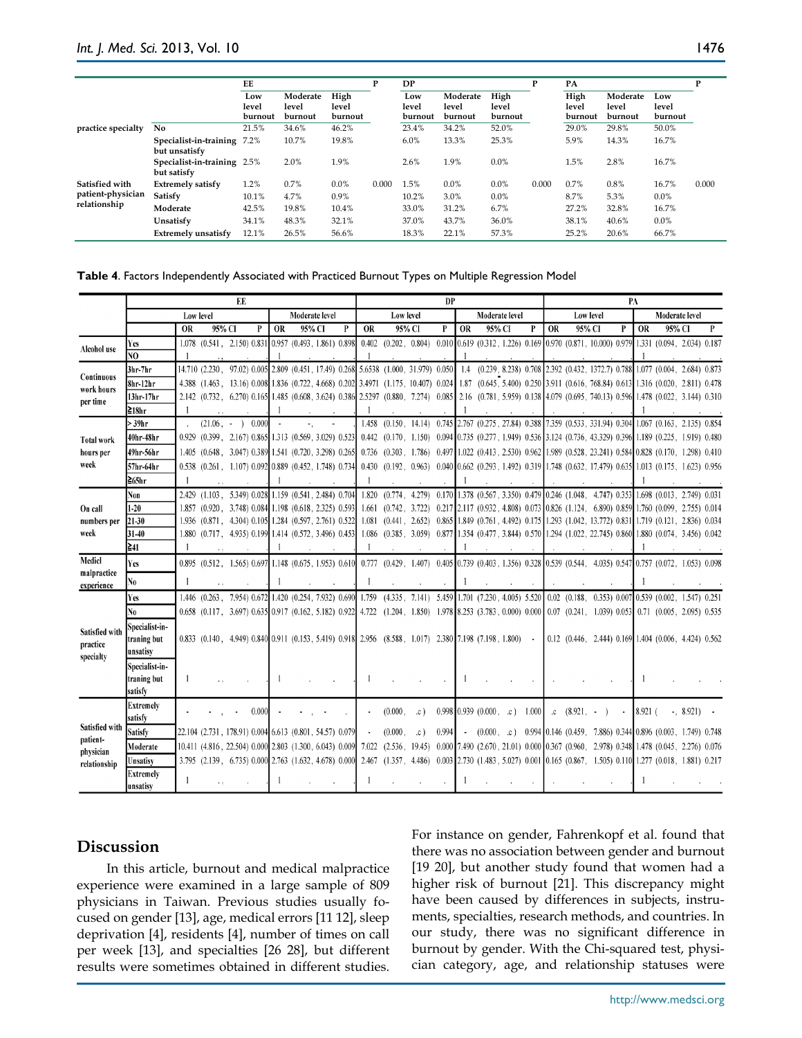|                    |                                              | EE                                               |                   |               | P     | DP           |                   |               | P     | PA            |                   |              | D     |
|--------------------|----------------------------------------------|--------------------------------------------------|-------------------|---------------|-------|--------------|-------------------|---------------|-------|---------------|-------------------|--------------|-------|
|                    |                                              | Low<br>level                                     | Moderate<br>level | High<br>level |       | Low<br>level | Moderate<br>level | High<br>level |       | High<br>level | Moderate<br>level | Low<br>level |       |
|                    |                                              | burnout                                          | burnout           | burnout       |       | burnout      | burnout           | burnout       |       | burnout       | burnout           | burnout      |       |
| practice specialty | N <sub>0</sub>                               | 21.5%                                            | 34.6%             | 46.2%         |       | 23.4%        | 34.2%             | 52.0%         |       | 29.0%         | 29.8%             | 50.0%        |       |
|                    | Specialist-in-training 7.2%<br>but unsatisfy |                                                  | 10.7%             | 19.8%         |       | $6.0\%$      | 13.3%             | 25.3%         |       | 5.9%          | 14.3%             | 16.7%        |       |
|                    | Specialist-in-training 2.5%<br>but satisfy   |                                                  | 2.0%              | 1.9%          |       | 2.6%         | 1.9%              | $0.0\%$       |       | 1.5%          | 2.8%              | 16.7%        |       |
| Satisfied with     | <b>Extremely satisfy</b>                     | 1.2%                                             | 0.7%              | 0.0%          | 0.000 | 1.5%         | $0.0\%$           | $0.0\%$       | 0.000 | 0.7%          | 0.8%              | 16.7%        | 0.000 |
| patient-physician  | Satisfy                                      | 4.7%<br>0.9%<br>10.1%<br>19.8%<br>42.5%<br>10.4% |                   |               |       | 10.2%        | 3.0%              | $0.0\%$       |       | 8.7%          | 5.3%              | $0.0\%$      |       |
| relationship       | Moderate                                     |                                                  |                   |               | 33.0% | 31.2%        | 6.7%              |               | 27.2% | 32.8%         | 16.7%             |              |       |
|                    | Unsatisfy                                    | 34.1%                                            | 48.3%             | 32.1%         |       | 37.0%        | 43.7%             | 36.0%         |       | 38.1%         | 40.6%             | $0.0\%$      |       |
|                    | <b>Extremely unsatisfy</b>                   | 12.1%                                            | 26.5%             | 56.6%         |       | 18.3%        | 22.1%             | 57.3%         |       | 25.2%         | 20.6%             | 66.7%        |       |

#### **Table 4**. Factors Independently Associated with Practiced Burnout Types on Multiple Regression Model

|                           |                       |           |        | EE                                                                                                                                                                  |    |                                  |   | DP        |                                                     |        |       |           |                           |                |       |               | PA           |                                                                                                                              |   |           |                |                     |   |
|---------------------------|-----------------------|-----------|--------|---------------------------------------------------------------------------------------------------------------------------------------------------------------------|----|----------------------------------|---|-----------|-----------------------------------------------------|--------|-------|-----------|---------------------------|----------------|-------|---------------|--------------|------------------------------------------------------------------------------------------------------------------------------|---|-----------|----------------|---------------------|---|
|                           |                       | Low level |        |                                                                                                                                                                     |    | Moderate level                   |   |           | Low level                                           |        |       |           |                           | Moderate level |       |               | Low level    |                                                                                                                              |   |           | Moderate level |                     |   |
|                           |                       | 0R        | 95% CI | P                                                                                                                                                                   | 0R | 95% CI                           | P | <b>OR</b> | 95% CI                                              |        | P     | <b>OR</b> | 95% CI                    |                | P     | OR            | 95% CI       |                                                                                                                              | P | <b>OR</b> | 95% CI         |                     | P |
| Alcohol use               | Yes                   |           |        | $1.078$ $(0.541, 2.150)$ $0.831$                                                                                                                                    |    | $0.957$ $(0.493, 1.861)$ $0.898$ |   | 0.402     | (0.202, 0.804)                                      |        |       |           |                           |                |       |               |              | 0.010 0.619 (0.312, 1.226) 0.169 0.970 (0.871, 10.000) 0.979 1.331 (0.094, 2.034) 0.187                                      |   |           |                |                     |   |
|                           | NO                    |           |        |                                                                                                                                                                     |    |                                  |   |           |                                                     |        |       |           |                           |                |       |               |              |                                                                                                                              |   |           |                |                     |   |
| Continuous                | 3hr-7hr               |           |        | 14.710 (2.230, 97.02) 0.005 2.809 (0.451, 17.49) 0.268 5.6538 (1.000, 31.979) 0.050 1.4 (0.239, 8.238) 0.708 2.392 (0.432, 1372.7) 0.788 1.077 (0.004, 2.684) 0.873 |    |                                  |   |           |                                                     |        |       |           |                           |                |       |               |              |                                                                                                                              |   |           |                |                     |   |
| work hours                | 8hr-12hr              |           |        | 4.388 (1.463, 13.16) 0.008 1.836 (0.722, 4.668) 0.202 3.4971 (1.175, 10.407) 0.024 1.87 (0.645, 5.400) 0.250 3.911 (0.616, 768.84) 0.613 1.316 (0.020, 2.811) 0.478 |    |                                  |   |           |                                                     |        |       |           |                           |                |       |               |              |                                                                                                                              |   |           |                |                     |   |
| per time                  | 13hr-17hr             |           |        | 2.142 (0.732, 6.270) 0.165 1.485 (0.608, 3.624) 0.386 2.5297 (0.880, 7.274) 0.085 2.16 (0.781, 5.959) 0.138 4.079 (0.695, 740.13) 0.596 1.478 (0.022, 3.144) 0.310  |    |                                  |   |           |                                                     |        |       |           |                           |                |       |               |              |                                                                                                                              |   |           |                |                     |   |
|                           | ≧18hr                 |           |        |                                                                                                                                                                     |    |                                  |   |           |                                                     |        |       |           |                           |                |       |               |              |                                                                                                                              |   |           |                |                     |   |
|                           | > 39hr                |           |        | $(21.06 - 0.000$                                                                                                                                                    |    |                                  |   | 1.458     | (0.150, 14.14)                                      |        |       |           |                           |                |       |               |              | $0.745$ $2.767$ (0.275, 27.84) 0.388 7.359 (0.533, 331.94) 0.304 1.067 (0.163, 2.135) 0.854                                  |   |           |                |                     |   |
| <b>Total work</b>         | 40hr-48hr             |           |        | 0.929 (0.399, 2.167) 0.865 1.313 (0.569, 3.029) 0.523                                                                                                               |    |                                  |   |           |                                                     |        |       |           |                           |                |       |               |              | $0.442$ (0.170, 1.150) $0.094$ (0.735 (0.277, 1.949) 0.536 3.124 (0.736, 43.329) 0.396 1.189 (0.225, 1.919) 0.480            |   |           |                |                     |   |
| hours per                 | 49hr-56hr             |           |        | 1.405 (0.648, 3.047) 0.389 1.541 (0.720, 3.298) 0.265 0.736 (0.303, 1.786) 0.497 1.022 (0.413, 2.530) 0.962 1.989 (0.528, 23.241) 0.584 0.828 (0.170, 1.298) 0.410  |    |                                  |   |           |                                                     |        |       |           |                           |                |       |               |              |                                                                                                                              |   |           |                |                     |   |
| week                      | 57hr-64hr             |           |        | 0.538 (0.261, 1.107) 0.092 0.889 (0.452, 1.748) 0.734 0.430 (0.192, 0.963) 0.040 0.662 (0.293, 1.492) 0.319 1.748 (0.632, 17.479) 0.635 1.013 (0.175, 1.623) 0.956  |    |                                  |   |           |                                                     |        |       |           |                           |                |       |               |              |                                                                                                                              |   |           |                |                     |   |
|                           | ≧65hr                 |           |        |                                                                                                                                                                     |    |                                  |   |           |                                                     |        |       |           |                           |                |       |               |              |                                                                                                                              |   |           |                |                     |   |
|                           | Non                   |           |        | 2.429 (1.103, 5.349) 0.028 1.159 (0.541, 2.484) 0.704                                                                                                               |    |                                  |   | 1.820     | (0.774, 4.279)                                      |        |       |           |                           |                |       |               |              | $0.170$ 1.378 (0.567, 3.350) 0.479 0.246 (1.048, 4.747) 0.353 1.698 (0.013, 2.749) 0.031                                     |   |           |                |                     |   |
| On call                   | $1-20$                |           |        | 1.857 (0.920, 3.748) 0.084 1.198 (0.618, 2.325) 0.593                                                                                                               |    |                                  |   | 1.661     | (0.742, 3.722)                                      |        |       |           |                           |                |       |               |              | $0.217$ 2.117 (0.932, 4.808) 0.073 0.826 (1.124, 6.890) 0.859 1.760 (0.099, 2.755) 0.014                                     |   |           |                |                     |   |
| numbers per               | 21-30                 |           |        | 1.936 (0.871, 4.304) 0.105 1.284 (0.597, 2.761) 0.522                                                                                                               |    |                                  |   | 1.081     | (0.441, 2.652)                                      |        |       |           |                           |                |       |               |              | 0.865 1.849 (0.761, 4.492) 0.175 1.293 (1.042, 13.772) 0.831 1.719 (0.121, 2.836) 0.034                                      |   |           |                |                     |   |
| week                      | 31-40                 |           |        | 1.880 (0.717, 4.935) 0.199 1.414 (0.572, 3.496) 0.453                                                                                                               |    |                                  |   | 1.086     |                                                     |        |       |           |                           |                |       |               |              | $(0.385, 3.059)$ $0.877$ 1.354 $(0.477, 3.844)$ $0.570$ 1.294 $(1.022, 22.745)$ $0.860$ 1.880 $(0.074, 3.456)$ $0.042$       |   |           |                |                     |   |
|                           | ≧41                   |           |        |                                                                                                                                                                     |    |                                  |   |           |                                                     |        |       |           |                           |                |       |               |              |                                                                                                                              |   |           |                |                     |   |
| Medicl                    | <b>Yes</b>            |           |        | $0.895$ $(0.512, 1.565)$ $0.697$ 1.148 $(0.675, 1.953)$ $0.610$ 0.777                                                                                               |    |                                  |   |           |                                                     |        |       |           |                           |                |       |               |              | $(0.429, 1.407)$ $0.405$ $0.739$ $(0.403, 1.356)$ $0.328$ $0.539$ $(0.544, 4.035)$ $0.547$ $0.0757$ $(0.072, 1.053)$ $0.098$ |   |           |                |                     |   |
| malpractice<br>experience | N0                    |           |        |                                                                                                                                                                     |    |                                  |   |           |                                                     |        |       |           |                           |                |       |               |              |                                                                                                                              |   |           |                |                     |   |
|                           | Yes                   |           |        | 1.446 (0.263, 7.954) 0.672 1.420 (0.254, 7.932) 0.690 1.759                                                                                                         |    |                                  |   |           | $(4.335, 7.141)$ 5.459 1.701 $(7.230, 4.005)$ 5.520 |        |       |           |                           |                |       |               |              | $0.02$ $(0.188, 0.353)$ $0.007$ $0.539$ $(0.002, 1.547)$ $0.251$                                                             |   |           |                |                     |   |
|                           | N0                    |           |        | 0.658 (0.117, 3.697) 0.635 0.917 (0.162, 5.182) 0.922 4.722 (1.204, 1.850) 1.978 8.253 (3.783, 0.000) 0.000 0.07 (0.241, 1.039) 0.053 0.71 (0.005, 2.095) 0.535     |    |                                  |   |           |                                                     |        |       |           |                           |                |       |               |              |                                                                                                                              |   |           |                |                     |   |
|                           | Specialist-in-        |           |        |                                                                                                                                                                     |    |                                  |   |           |                                                     |        |       |           |                           |                |       |               |              |                                                                                                                              |   |           |                |                     |   |
| Satisfied with            | traning but           |           |        | $0.833$ $(0.140, 4.949)$ $0.840$ $(0.911, (0.153, 5.419)$ $0.918$ $(2.956, (8.588, 1.017)$ $2.380$ $(7.198, (7.198, 1.800)$ -                                       |    |                                  |   |           |                                                     |        |       |           |                           |                |       |               |              | $0.12$ $(0.446, 2.444)$ $0.169$ 1.404 $(0.006, 4.424)$ $0.562$                                                               |   |           |                |                     |   |
| practice<br>specialty     | unsatisv              |           |        |                                                                                                                                                                     |    |                                  |   |           |                                                     |        |       |           |                           |                |       |               |              |                                                                                                                              |   |           |                |                     |   |
|                           | Specialist-in-        |           |        |                                                                                                                                                                     |    |                                  |   |           |                                                     |        |       |           |                           |                |       |               |              |                                                                                                                              |   |           |                |                     |   |
|                           | traning but           |           |        |                                                                                                                                                                     |    |                                  |   |           |                                                     |        |       |           |                           |                |       |               |              |                                                                                                                              |   |           |                |                     |   |
|                           | satisfy               |           |        |                                                                                                                                                                     |    |                                  |   |           |                                                     |        |       |           |                           |                |       |               |              |                                                                                                                              |   |           |                |                     |   |
|                           | <b>Extremely</b>      |           |        | 0.000                                                                                                                                                               |    |                                  |   |           | $(0.000)$ .                                         | $.c$ ) |       |           | $0.998$ 0.939 (0.000, .c) |                | 1.000 | $\mathcal{C}$ | $(8.921, -)$ |                                                                                                                              |   | 8.921(    |                | $-0.8921$ $-0.8921$ |   |
| Satisfied with            | satisfy               |           |        |                                                                                                                                                                     |    |                                  |   |           |                                                     |        |       |           |                           |                |       |               |              |                                                                                                                              |   |           |                |                     |   |
| patient-                  | Satisfy               |           |        | 22.104 (2.731, 178.91) 0.004 6.613 (0.801, 54.57) 0.079                                                                                                             |    |                                  |   |           | (0.000)                                             | .c)    | 0.994 |           | (0.000, c)                |                |       |               |              | 0.994 0.146 (0.459, 7.886) 0.344 0.896 (0.003, 1.749) 0.748                                                                  |   |           |                |                     |   |
| physician                 | Moderate              |           |        | 10.411 (4.816, 22.504) 0.000 2.803 (1.300, 6.043) 0.009                                                                                                             |    |                                  |   | 7.022     | $(2.536)$ .                                         | 19.45  |       |           |                           |                |       |               |              | $0.000$ 7.490 (2.670, 21.01) 0.000 0.367 (0.960, 2.978) 0.348 1.478 (0.045, 2.276) 0.076                                     |   |           |                |                     |   |
| relationship              | Unsatisv              |           |        | 3.795 (2.139, 6.735) 0.000 2.763 (1.632, 4.678) 0.000                                                                                                               |    |                                  |   | 2.467     | (1.357, 4.486)                                      |        |       |           |                           |                |       |               |              | $0.003$ 2.730 (1.483, 5.027) 0.001 0.165 (0.867, 1.505) 0.110 1.277 (0.018, 1.881) 0.217                                     |   |           |                |                     |   |
|                           | Extremely<br>unsatisy |           |        |                                                                                                                                                                     |    |                                  |   |           |                                                     |        |       |           |                           |                |       |               |              |                                                                                                                              |   |           |                |                     |   |

# **Discussion**

In this article, burnout and medical malpractice experience were examined in a large sample of 809 physicians in Taiwan. Previous studies usually focused on gender [13], age, medical errors [11 12], sleep deprivation [4], residents [4], number of times on call per week [13], and specialties [26 28], but different results were sometimes obtained in different studies.

For instance on gender, Fahrenkopf et al. found that there was no association between gender and burnout [19 20], but another study found that women had a higher risk of burnout [21]. This discrepancy might have been caused by differences in subjects, instruments, specialties, research methods, and countries. In our study, there was no significant difference in burnout by gender. With the Chi-squared test, physician category, age, and relationship statuses were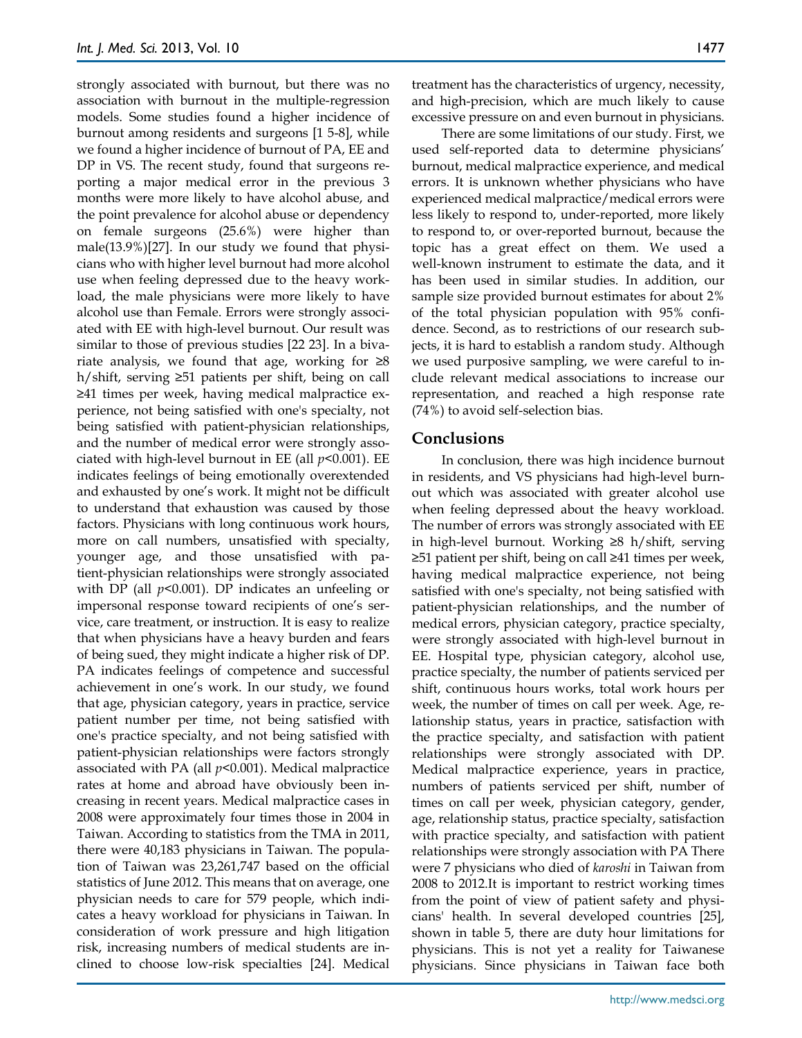strongly associated with burnout, but there was no association with burnout in the multiple-regression models. Some studies found a higher incidence of burnout among residents and surgeons [1 5-8], while we found a higher incidence of burnout of PA, EE and DP in VS. The recent study, found that surgeons reporting a major medical error in the previous 3 months were more likely to have alcohol abuse, and the point prevalence for alcohol abuse or dependency on female surgeons (25.6%) were higher than male(13.9%)[27]. In our study we found that physicians who with higher level burnout had more alcohol use when feeling depressed due to the heavy workload, the male physicians were more likely to have alcohol use than Female. Errors were strongly associated with EE with high-level burnout. Our result was similar to those of previous studies [22 23]. In a bivariate analysis, we found that age, working for  $\geq 8$ h/shift, serving ≥51 patients per shift, being on call ≥41 times per week, having medical malpractice experience, not being satisfied with one's specialty, not being satisfied with patient-physician relationships, and the number of medical error were strongly associated with high-level burnout in EE (all *p*<0.001). EE indicates feelings of being emotionally overextended and exhausted by one's work. It might not be difficult to understand that exhaustion was caused by those factors. Physicians with long continuous work hours, more on call numbers, unsatisfied with specialty, younger age, and those unsatisfied with patient-physician relationships were strongly associated with DP (all  $p<0.001$ ). DP indicates an unfeeling or impersonal response toward recipients of one's service, care treatment, or instruction. It is easy to realize that when physicians have a heavy burden and fears of being sued, they might indicate a higher risk of DP. PA indicates feelings of competence and successful achievement in one's work. In our study, we found that age, physician category, years in practice, service patient number per time, not being satisfied with one's practice specialty, and not being satisfied with patient-physician relationships were factors strongly associated with PA (all *p*<0.001). Medical malpractice rates at home and abroad have obviously been increasing in recent years. Medical malpractice cases in 2008 were approximately four times those in 2004 in Taiwan. According to statistics from the TMA in 2011, there were 40,183 physicians in Taiwan. The population of Taiwan was 23,261,747 based on the official statistics of June 2012. This means that on average, one physician needs to care for 579 people, which indicates a heavy workload for physicians in Taiwan. In consideration of work pressure and high litigation risk, increasing numbers of medical students are inclined to choose low-risk specialties [24]. Medical

treatment has the characteristics of urgency, necessity, and high-precision, which are much likely to cause excessive pressure on and even burnout in physicians.

There are some limitations of our study. First, we used self-reported data to determine physicians' burnout, medical malpractice experience, and medical errors. It is unknown whether physicians who have experienced medical malpractice/medical errors were less likely to respond to, under-reported, more likely to respond to, or over-reported burnout, because the topic has a great effect on them. We used a well-known instrument to estimate the data, and it has been used in similar studies. In addition, our sample size provided burnout estimates for about 2% of the total physician population with 95% confidence. Second, as to restrictions of our research subjects, it is hard to establish a random study. Although we used purposive sampling, we were careful to include relevant medical associations to increase our representation, and reached a high response rate (74%) to avoid self-selection bias.

# **Conclusions**

In conclusion, there was high incidence burnout in residents, and VS physicians had high-level burnout which was associated with greater alcohol use when feeling depressed about the heavy workload. The number of errors was strongly associated with EE in high-level burnout. Working ≥8 h/shift, serving ≥51 patient per shift, being on call ≥41 times per week, having medical malpractice experience, not being satisfied with one's specialty, not being satisfied with patient-physician relationships, and the number of medical errors, physician category, practice specialty, were strongly associated with high-level burnout in EE. Hospital type, physician category, alcohol use, practice specialty, the number of patients serviced per shift, continuous hours works, total work hours per week, the number of times on call per week. Age, relationship status, years in practice, satisfaction with the practice specialty, and satisfaction with patient relationships were strongly associated with DP. Medical malpractice experience, years in practice, numbers of patients serviced per shift, number of times on call per week, physician category, gender, age, relationship status, practice specialty, satisfaction with practice specialty, and satisfaction with patient relationships were strongly association with PA There were 7 physicians who died of *karoshi* in Taiwan from 2008 to 2012.It is important to restrict working times from the point of view of patient safety and physicians' health. In several developed countries [25], shown in table 5, there are duty hour limitations for physicians. This is not yet a reality for Taiwanese physicians. Since physicians in Taiwan face both